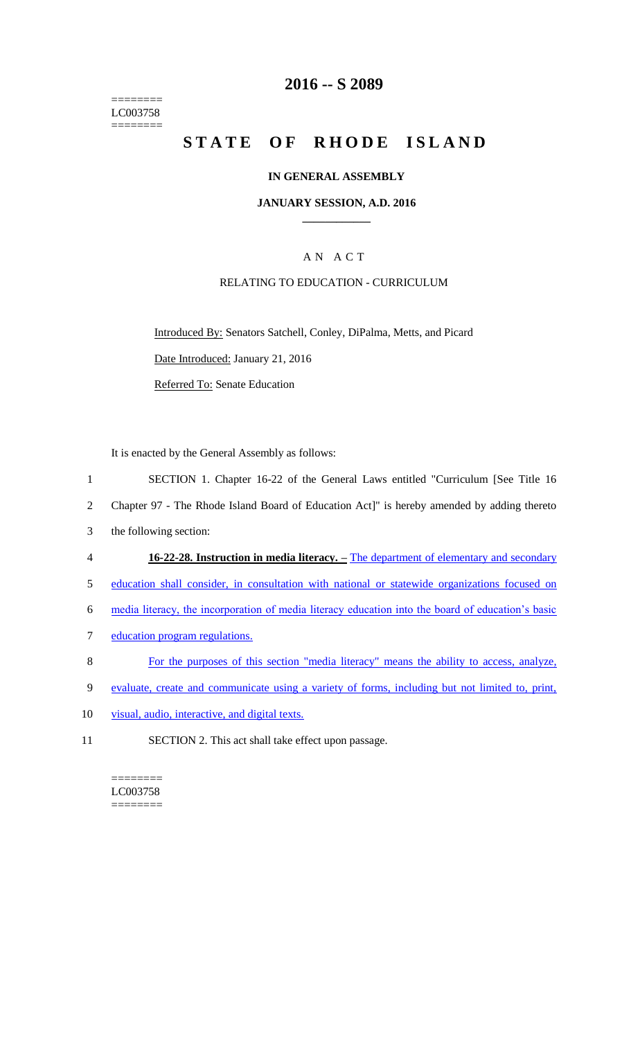======== LC003758 ========

## **2016 -- S 2089**

# **STATE OF RHODE ISLAND**

#### **IN GENERAL ASSEMBLY**

#### **JANUARY SESSION, A.D. 2016 \_\_\_\_\_\_\_\_\_\_\_\_**

#### A N A C T

#### RELATING TO EDUCATION - CURRICULUM

Introduced By: Senators Satchell, Conley, DiPalma, Metts, and Picard Date Introduced: January 21, 2016 Referred To: Senate Education

It is enacted by the General Assembly as follows:

1 SECTION 1. Chapter 16-22 of the General Laws entitled "Curriculum [See Title 16

2 Chapter 97 - The Rhode Island Board of Education Act]" is hereby amended by adding thereto

- 3 the following section:
- 4 **16-22-28. Instruction in media literacy. –** The department of elementary and secondary

5 education shall consider, in consultation with national or statewide organizations focused on

6 media literacy, the incorporation of media literacy education into the board of education's basic

- 7 education program regulations.
- 8 For the purposes of this section "media literacy" means the ability to access, analyze,
- 9 evaluate, create and communicate using a variety of forms, including but not limited to, print,
- 10 visual, audio, interactive, and digital texts.
- 11 SECTION 2. This act shall take effect upon passage.

======== LC003758  $=$